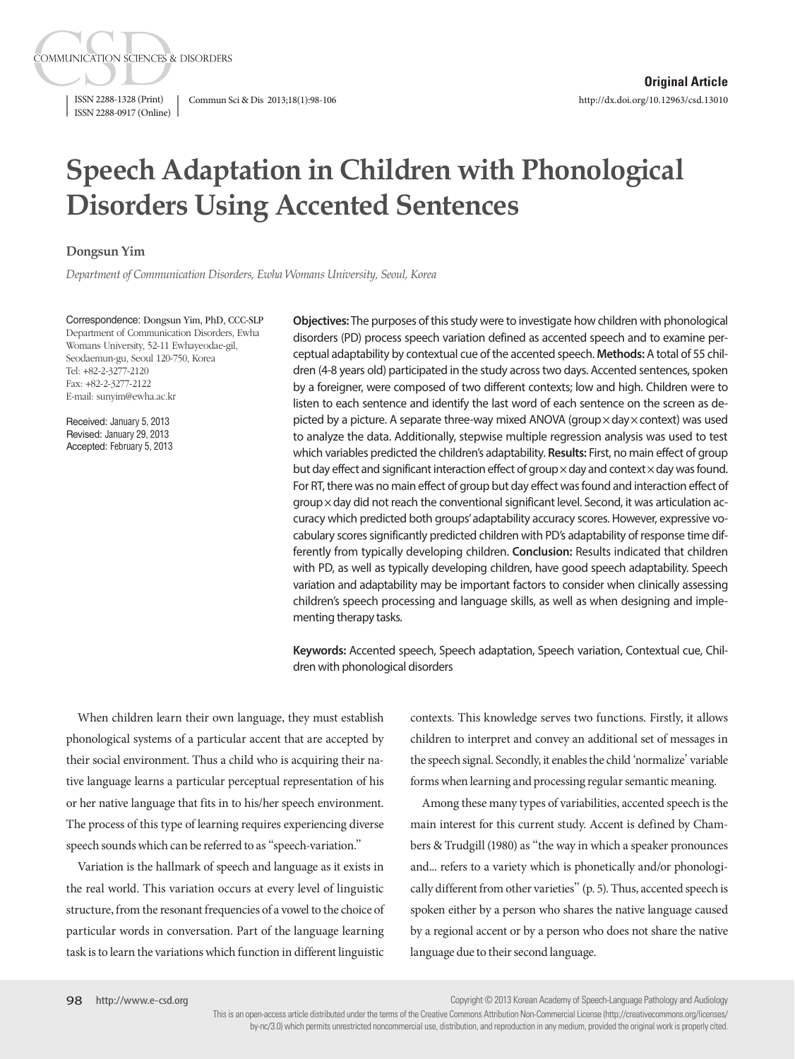ISSN 2288-0917 (Online)

**COMMUNICATION SCIENCES & DISORDERS** 

ISSN 2288-1328 (Print) Commun Sci & Dis 2013;18(1):98-106

# **Speech Adaptation in Children with Phonological Disorders Using Accented Sentences**

## **Dongsun Yim**

*Department of Communication Disorders, Ewha Womans University, Seoul, Korea*

Correspondence: Dongsun Yim, PhD, CCC-SLP Department of Communication Disorders, Ewha Womans University, 52-11 Ewhayeodae-gil, Seodaemun-gu, Seoul 120-750, Korea Tel: +82-2-3277-2120 Fax: +82-2-3277-2122 E-mail: sunyim@ewha.ac.kr

Received: January 5, 2013 Revised: January 29, 2013 Accepted: February 5, 2013

**Objectives:** The purposes of this study were to investigate how children with phonological disorders (PD) process speech variation defined as accented speech and to examine perceptual adaptability by contextual cue of the accented speech. **Methods:** A total of 55 children (4-8 years old) participated in the study across two days. Accented sentences, spoken by a foreigner, were composed of two different contexts; low and high. Children were to listen to each sentence and identify the last word of each sentence on the screen as depicted by a picture. A separate three-way mixed ANOVA (group x day x context) was used to analyze the data. Additionally, stepwise multiple regression analysis was used to test which variables predicted the children's adaptability. **Results:** First, no main effect of group but day effect and significant interaction effect of group $\times$  day and context $\times$  day was found. For RT, there was no main effect of group but day effect was found and interaction effect of group x day did not reach the conventional significant level. Second, it was articulation accuracy which predicted both groups' adaptability accuracy scores. However, expressive vocabulary scores significantly predicted children with PD's adaptability of response time differently from typically developing children. **Conclusion:** Results indicated that children with PD, as well as typically developing children, have good speech adaptability. Speech variation and adaptability may be important factors to consider when clinically assessing children's speech processing and language skills, as well as when designing and implementing therapy tasks.

**Keywords:** Accented speech, Speech adaptation, Speech variation, Contextual cue, Children with phonological disorders

When children learn their own language, they must establish phonological systems of a particular accent that are accepted by their social environment. Thus a child who is acquiring their native language learns a particular perceptual representation of his or her native language that fits in to his/her speech environment. The process of this type of learning requires experiencing diverse speech sounds which can be referred to as "speech-variation."

Variation is the hallmark of speech and language as it exists in the real world. This variation occurs at every level of linguistic structure, from the resonant frequencies of a vowel to the choice of particular words in conversation. Part of the language learning task is to learn the variations which function in different linguistic

contexts. This knowledge serves two functions. Firstly, it allows children to interpret and convey an additional set of messages in the speech signal. Secondly, it enables the child 'normalize' variable forms when learning and processing regular semantic meaning.

Among these many types of variabilities, accented speech is the main interest for this current study. Accent is defined by Chambers & Trudgill (1980) as "the way in which a speaker pronounces and... refers to a variety which is phonetically and/or phonologically different from other varieties" (p. 5). Thus, accented speech is spoken either by a person who shares the native language caused by a regional accent or by a person who does not share the native language due to their second language.

Copyright © 2013 Korean Academy of Speech-Language Pathology and Audiology

This is an open-access article distributed under the terms of the Creative Commons Attribution Non-Commercial License (http://creativecommons.org/licenses/ by-nc/3.0) which permits unrestricted noncommercial use, distribution, and reproduction in any medium, provided the original work is properly cited.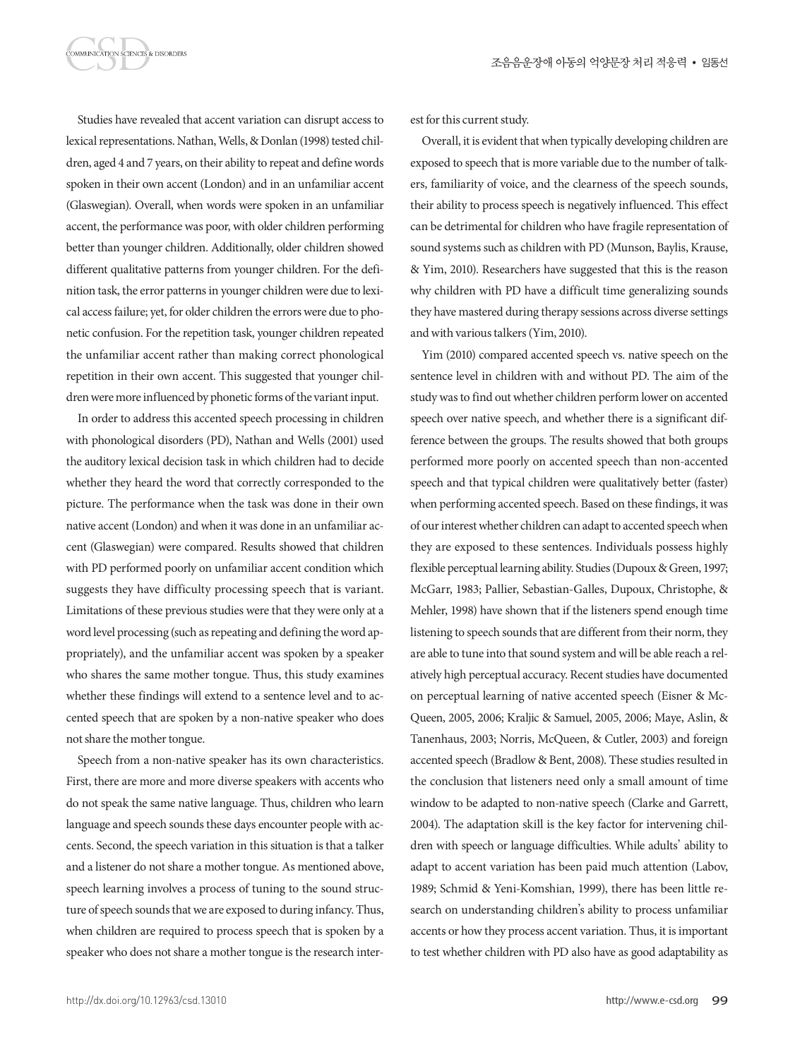MMUNICATION SCIENCES & DISORDERS

Studies have revealed that accent variation can disrupt access to lexical representations. Nathan, Wells, & Donlan (1998) tested children, aged 4 and 7 years, on their ability to repeat and define words spoken in their own accent (London) and in an unfamiliar accent (Glaswegian). Overall, when words were spoken in an unfamiliar accent, the performance was poor, with older children performing better than younger children. Additionally, older children showed different qualitative patterns from younger children. For the definition task, the error patterns in younger children were due to lexical access failure; yet, for older children the errors were due to phonetic confusion. For the repetition task, younger children repeated the unfamiliar accent rather than making correct phonological repetition in their own accent. This suggested that younger children were more influenced by phonetic forms of the variant input.

In order to address this accented speech processing in children with phonological disorders (PD), Nathan and Wells (2001) used the auditory lexical decision task in which children had to decide whether they heard the word that correctly corresponded to the picture. The performance when the task was done in their own native accent (London) and when it was done in an unfamiliar accent (Glaswegian) were compared. Results showed that children with PD performed poorly on unfamiliar accent condition which suggests they have difficulty processing speech that is variant. Limitations of these previous studies were that they were only at a word level processing (such as repeating and defining the word appropriately), and the unfamiliar accent was spoken by a speaker who shares the same mother tongue. Thus, this study examines whether these findings will extend to a sentence level and to accented speech that are spoken by a non-native speaker who does not share the mother tongue.

Speech from a non-native speaker has its own characteristics. First, there are more and more diverse speakers with accents who do not speak the same native language. Thus, children who learn language and speech sounds these days encounter people with accents. Second, the speech variation in this situation is that a talker and a listener do not share a mother tongue. As mentioned above, speech learning involves a process of tuning to the sound structure of speech sounds that we are exposed to during infancy. Thus, when children are required to process speech that is spoken by a speaker who does not share a mother tongue is the research interest for this current study.

Overall, it is evident that when typically developing children are exposed to speech that is more variable due to the number of talkers, familiarity of voice, and the clearness of the speech sounds, their ability to process speech is negatively influenced. This effect can be detrimental for children who have fragile representation of sound systems such as children with PD (Munson, Baylis, Krause, & Yim, 2010). Researchers have suggested that this is the reason why children with PD have a difficult time generalizing sounds they have mastered during therapy sessions across diverse settings and with various talkers (Yim, 2010).

Yim (2010) compared accented speech vs. native speech on the sentence level in children with and without PD. The aim of the study was to find out whether children perform lower on accented speech over native speech, and whether there is a significant difference between the groups. The results showed that both groups performed more poorly on accented speech than non-accented speech and that typical children were qualitatively better (faster) when performing accented speech. Based on these findings, it was of our interest whether children can adapt to accented speech when they are exposed to these sentences. Individuals possess highly flexible perceptual learning ability. Studies (Dupoux & Green, 1997; McGarr, 1983; Pallier, Sebastian-Galles, Dupoux, Christophe, & Mehler, 1998) have shown that if the listeners spend enough time listening to speech sounds that are different from their norm, they are able to tune into that sound system and will be able reach a relatively high perceptual accuracy. Recent studies have documented on perceptual learning of native accented speech (Eisner & Mc-Queen, 2005, 2006; Kraljic & Samuel, 2005, 2006; Maye, Aslin, & Tanenhaus, 2003; Norris, McQueen, & Cutler, 2003) and foreign accented speech (Bradlow & Bent, 2008). These studies resulted in the conclusion that listeners need only a small amount of time window to be adapted to non-native speech (Clarke and Garrett, 2004). The adaptation skill is the key factor for intervening children with speech or language difficulties. While adults' ability to adapt to accent variation has been paid much attention (Labov, 1989; Schmid & Yeni-Komshian, 1999), there has been little research on understanding children's ability to process unfamiliar accents or how they process accent variation. Thus, it is important to test whether children with PD also have as good adaptability as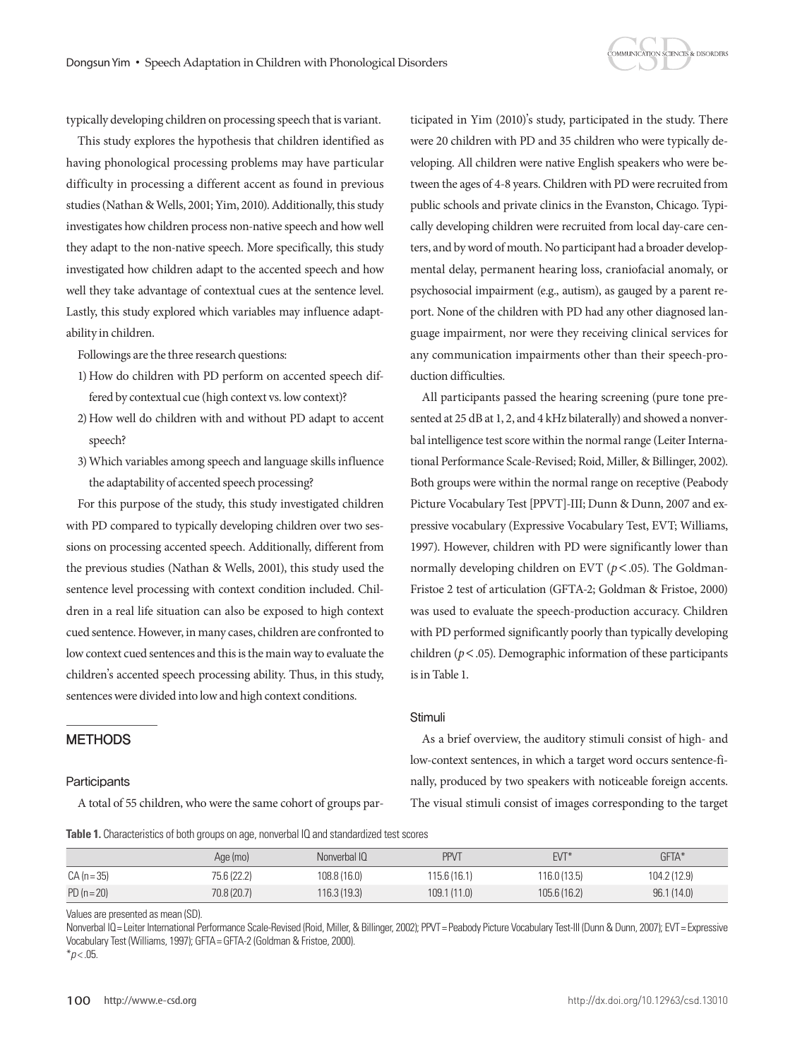

typically developing children on processing speech that is variant.

This study explores the hypothesis that children identified as having phonological processing problems may have particular difficulty in processing a different accent as found in previous studies (Nathan & Wells, 2001; Yim, 2010). Additionally, this study investigates how children process non-native speech and how well they adapt to the non-native speech. More specifically, this study investigated how children adapt to the accented speech and how well they take advantage of contextual cues at the sentence level. Lastly, this study explored which variables may influence adaptability in children.

Followings are the three research questions:

- 1) How do children with PD perform on accented speech differed by contextual cue (high context vs. low context)?
- 2) How well do children with and without PD adapt to accent speech?
- 3) Which variables among speech and language skills influence the adaptability of accented speech processing?

For this purpose of the study, this study investigated children with PD compared to typically developing children over two sessions on processing accented speech. Additionally, different from the previous studies (Nathan & Wells, 2001), this study used the sentence level processing with context condition included. Children in a real life situation can also be exposed to high context cued sentence. However, in many cases, children are confronted to low context cued sentences and this is the main way to evaluate the children's accented speech processing ability. Thus, in this study, sentences were divided into low and high context conditions.

## **METHODS**

#### **Participants**

A total of 55 children, who were the same cohort of groups par-

ticipated in Yim (2010)'s study, participated in the study. There were 20 children with PD and 35 children who were typically developing. All children were native English speakers who were between the ages of 4-8 years. Children with PD were recruited from public schools and private clinics in the Evanston, Chicago. Typically developing children were recruited from local day-care centers, and by word of mouth. No participant had a broader developmental delay, permanent hearing loss, craniofacial anomaly, or psychosocial impairment (e.g., autism), as gauged by a parent report. None of the children with PD had any other diagnosed language impairment, nor were they receiving clinical services for any communication impairments other than their speech-production difficulties.

All participants passed the hearing screening (pure tone presented at 25 dB at 1, 2, and 4 kHz bilaterally) and showed a nonverbal intelligence test score within the normal range (Leiter International Performance Scale-Revised; Roid, Miller, & Billinger, 2002). Both groups were within the normal range on receptive (Peabody Picture Vocabulary Test [PPVT]-III; Dunn & Dunn, 2007 and expressive vocabulary (Expressive Vocabulary Test, EVT; Williams, 1997). However, children with PD were significantly lower than normally developing children on EVT ( $p$ <.05). The Goldman-Fristoe 2 test of articulation (GFTA-2; Goldman & Fristoe, 2000) was used to evaluate the speech-production accuracy. Children with PD performed significantly poorly than typically developing children (*p*<.05). Demographic information of these participants is in Table 1.

## **Stimuli**

As a brief overview, the auditory stimuli consist of high- and low-context sentences, in which a target word occurs sentence-finally, produced by two speakers with noticeable foreign accents. The visual stimuli consist of images corresponding to the target

**Table 1.** Characteristics of both groups on age, nonverbal IQ and standardized test scores

|               | Age (mo)    | Nonverbal IQ | <b>PPVT</b> | $EVT*$       | GFTA*        |
|---------------|-------------|--------------|-------------|--------------|--------------|
| $CA (n = 35)$ | 75.6 (22.2) | 108.8 (16.0) | 115.6(16.1) | 116.0 (13.5) | 104.2 (12.9) |
| $PD (n = 20)$ | 70.8 (20.7) | 116.3 (19.3) | 109.1(11.0) | 105.6(16.2)  | 96.1(14.0)   |

Values are presented as mean (SD).

Nonverbal IQ= Leiter International Performance Scale-Revised (Roid, Miller, & Billinger, 2002); PPVT= Peabody Picture Vocabulary Test-III (Dunn & Dunn, 2007); EVT= Expressive Vocabulary Test (Williams, 1997); GFTA= GFTA-2 (Goldman & Fristoe, 2000).

 $*$ *p* < .05.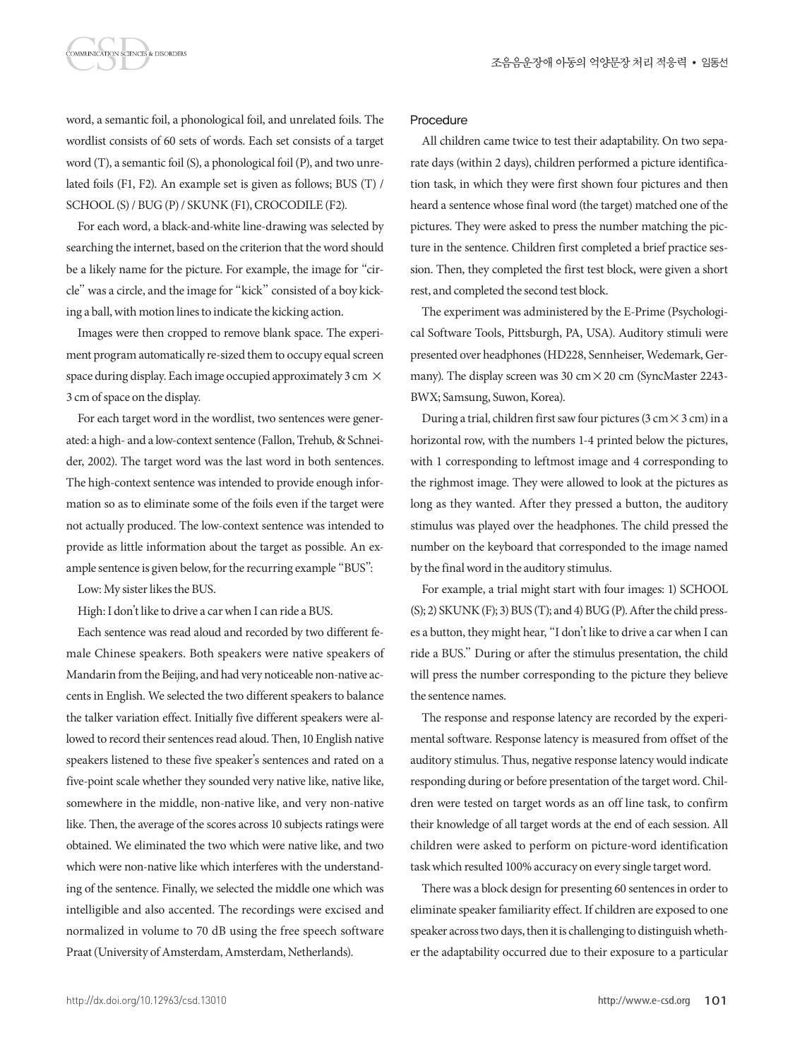word, a semantic foil, a phonological foil, and unrelated foils. The wordlist consists of 60 sets of words. Each set consists of a target word (T), a semantic foil (S), a phonological foil (P), and two unrelated foils (F1, F2). An example set is given as follows; BUS (T) / SCHOOL (S) / BUG (P) / SKUNK (F1), CROCODILE (F2).

MMUNICATION SCIENCES & DISORDERS

For each word, a black-and-white line-drawing was selected by searching the internet, based on the criterion that the word should be a likely name for the picture. For example, the image for "circle" was a circle, and the image for "kick" consisted of a boy kicking a ball, with motion lines to indicate the kicking action.

Images were then cropped to remove blank space. The experiment program automatically re-sized them to occupy equal screen space during display. Each image occupied approximately 3 cm  $\times$ 3 cm of space on the display.

For each target word in the wordlist, two sentences were generated: a high- and a low-context sentence (Fallon, Trehub, & Schneider, 2002). The target word was the last word in both sentences. The high-context sentence was intended to provide enough information so as to eliminate some of the foils even if the target were not actually produced. The low-context sentence was intended to provide as little information about the target as possible. An example sentence is given below, for the recurring example "BUS":

Low: My sister likes the BUS.

High: I don't like to drive a car when I can ride a BUS.

Each sentence was read aloud and recorded by two different female Chinese speakers. Both speakers were native speakers of Mandarin from the Beijing, and had very noticeable non-native accents in English. We selected the two different speakers to balance the talker variation effect. Initially five different speakers were allowed to record their sentences read aloud. Then, 10 English native speakers listened to these five speaker's sentences and rated on a five-point scale whether they sounded very native like, native like, somewhere in the middle, non-native like, and very non-native like. Then, the average of the scores across 10 subjects ratings were obtained. We eliminated the two which were native like, and two which were non-native like which interferes with the understanding of the sentence. Finally, we selected the middle one which was intelligible and also accented. The recordings were excised and normalized in volume to 70 dB using the free speech software Praat (University of Amsterdam, Amsterdam, Netherlands).

## Procedure

All children came twice to test their adaptability. On two separate days (within 2 days), children performed a picture identification task, in which they were first shown four pictures and then heard a sentence whose final word (the target) matched one of the pictures. They were asked to press the number matching the picture in the sentence. Children first completed a brief practice session. Then, they completed the first test block, were given a short rest, and completed the second test block.

The experiment was administered by the E-Prime (Psychological Software Tools, Pittsburgh, PA, USA). Auditory stimuli were presented over headphones (HD228, Sennheiser, Wedemark, Germany). The display screen was 30 cm  $\times$  20 cm (SyncMaster 2243-BWX; Samsung, Suwon, Korea).

During a trial, children first saw four pictures (3 cm  $\times$  3 cm) in a horizontal row, with the numbers 1-4 printed below the pictures, with 1 corresponding to leftmost image and 4 corresponding to the righmost image. They were allowed to look at the pictures as long as they wanted. After they pressed a button, the auditory stimulus was played over the headphones. The child pressed the number on the keyboard that corresponded to the image named by the final word in the auditory stimulus.

For example, a trial might start with four images: 1) SCHOOL (S); 2) SKUNK (F); 3) BUS (T); and 4) BUG (P). After the child presses a button, they might hear, "I don't like to drive a car when I can ride a BUS." During or after the stimulus presentation, the child will press the number corresponding to the picture they believe the sentence names.

The response and response latency are recorded by the experimental software. Response latency is measured from offset of the auditory stimulus. Thus, negative response latency would indicate responding during or before presentation of the target word. Children were tested on target words as an off line task, to confirm their knowledge of all target words at the end of each session. All children were asked to perform on picture-word identification task which resulted 100% accuracy on every single target word.

There was a block design for presenting 60 sentences in order to eliminate speaker familiarity effect. If children are exposed to one speaker across two days, then it is challenging to distinguish whether the adaptability occurred due to their exposure to a particular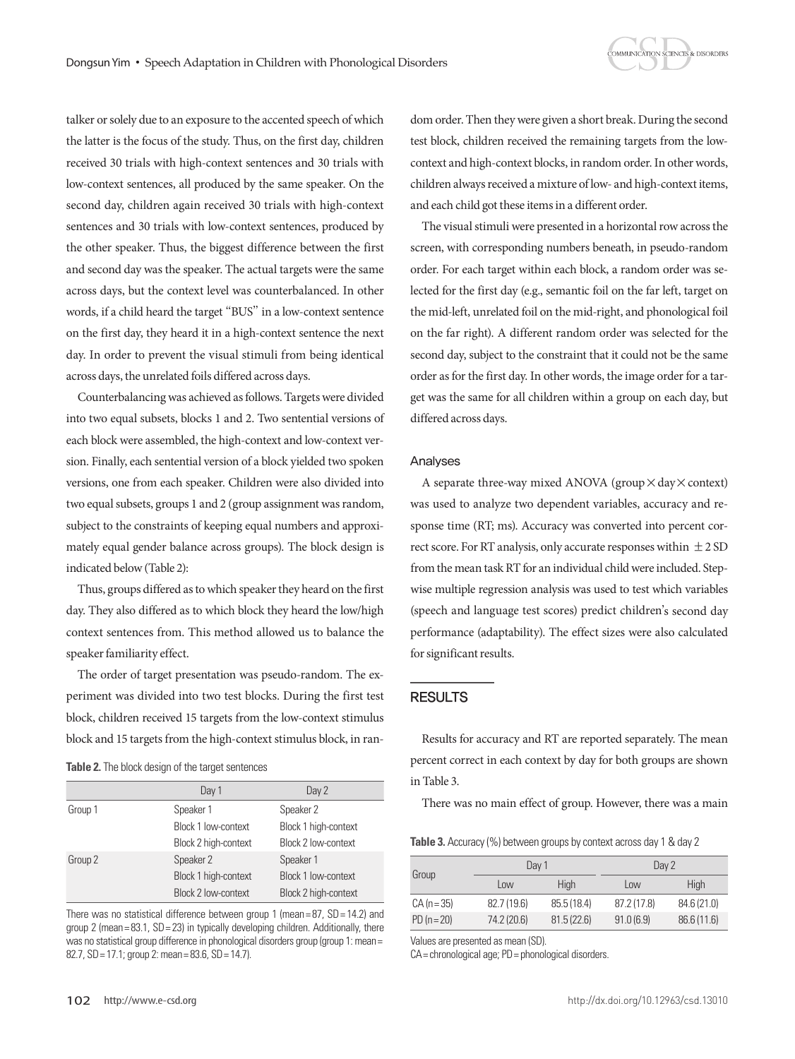

talker or solely due to an exposure to the accented speech of which the latter is the focus of the study. Thus, on the first day, children received 30 trials with high-context sentences and 30 trials with low-context sentences, all produced by the same speaker. On the second day, children again received 30 trials with high-context sentences and 30 trials with low-context sentences, produced by the other speaker. Thus, the biggest difference between the first and second day was the speaker. The actual targets were the same across days, but the context level was counterbalanced. In other words, if a child heard the target "BUS" in a low-context sentence on the first day, they heard it in a high-context sentence the next day. In order to prevent the visual stimuli from being identical across days, the unrelated foils differed across days.

Counterbalancing was achieved as follows. Targets were divided into two equal subsets, blocks 1 and 2. Two sentential versions of each block were assembled, the high-context and low-context version. Finally, each sentential version of a block yielded two spoken versions, one from each speaker. Children were also divided into two equal subsets, groups 1 and 2 (group assignment was random, subject to the constraints of keeping equal numbers and approximately equal gender balance across groups). The block design is indicated below (Table 2):

Thus, groups differed as to which speaker they heard on the first day. They also differed as to which block they heard the low/high context sentences from. This method allowed us to balance the speaker familiarity effect.

The order of target presentation was pseudo-random. The experiment was divided into two test blocks. During the first test block, children received 15 targets from the low-context stimulus block and 15 targets from the high-context stimulus block, in ran-

**Table 2.** The block design of the target sentences

|         | Day 1                      | Day 2                |
|---------|----------------------------|----------------------|
| Group 1 | Speaker 1                  | Speaker 2            |
|         | Block 1 low-context        | Block 1 high-context |
|         | Block 2 high-context       | Block 2 low-context  |
| Group 2 | Speaker 2                  | Speaker 1            |
|         | Block 1 high-context       | Block 1 low-context  |
|         | <b>Block 2 low-context</b> | Block 2 high-context |

There was no statistical difference between group 1 (mean= $87$ ,  $SD = 14.2$ ) and group 2 (mean =  $83.1$ ,  $SD = 23$ ) in typically developing children. Additionally, there was no statistical group difference in phonological disorders group (group 1: mean = 82.7, SD= 17.1; group 2: mean= 83.6, SD= 14.7).

dom order. Then they were given a short break. During the second test block, children received the remaining targets from the lowcontext and high-context blocks, in random order. In other words, children always received a mixture of low- and high-context items, and each child got these items in a different order.

The visual stimuli were presented in a horizontal row across the screen, with corresponding numbers beneath, in pseudo-random order. For each target within each block, a random order was selected for the first day (e.g., semantic foil on the far left, target on the mid-left, unrelated foil on the mid-right, and phonological foil on the far right). A different random order was selected for the second day, subject to the constraint that it could not be the same order as for the first day. In other words, the image order for a target was the same for all children within a group on each day, but differed across days.

#### Analyses

A separate three-way mixed ANOVA (group  $\times$  day  $\times$  context) was used to analyze two dependent variables, accuracy and response time (RT; ms). Accuracy was converted into percent correct score. For RT analysis, only accurate responses within  $\pm 2$  SD from the mean task RT for an individual child were included. Stepwise multiple regression analysis was used to test which variables (speech and language test scores) predict children's second day performance (adaptability). The effect sizes were also calculated for significant results.

## RESULTS

Results for accuracy and RT are reported separately. The mean percent correct in each context by day for both groups are shown in Table 3.

There was no main effect of group. However, there was a main

**Table 3.** Accuracy (%) between groups by context across day 1 & day 2

| Group         | Day 1       |            | Day 2       |             |
|---------------|-------------|------------|-------------|-------------|
|               | Low         | High       | Low         | High        |
| $CA (n = 35)$ | 82.7(19.6)  | 85.5(18.4) | 87.2 (17.8) | 84.6 (21.0) |
| $PD(n=20)$    | 74.2 (20.6) | 81.5(22.6) | 91.0(6.9)   | 86.6 (11.6) |

Values are presented as mean (SD).

CA= chronological age; PD= phonological disorders.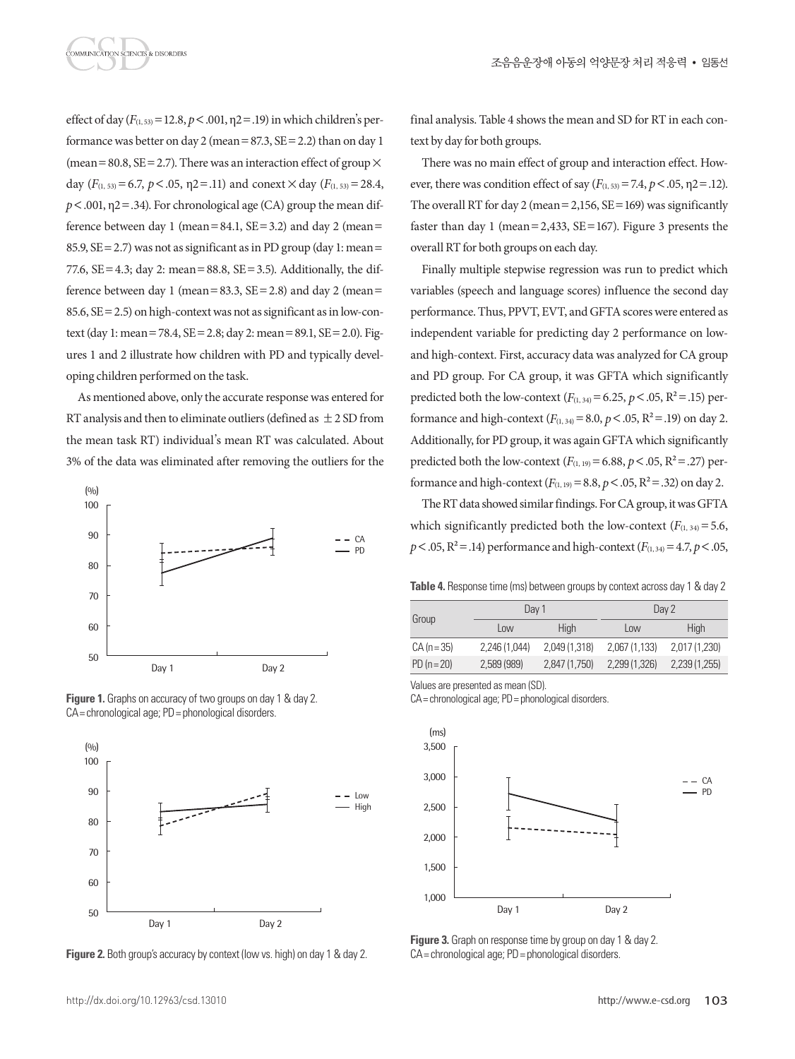effect of day  $(F_{(1, 53)} = 12.8, p < .001, \eta$ 2 = .19) in which children's performance was better on day 2 (mean =  $87.3$ ,  $SE = 2.2$ ) than on day 1 (mean = 80.8,  $SE = 2.7$ ). There was an interaction effect of group  $\times$ day  $(F_{(1, 53)} = 6.7, p < .05, \eta$ 2 = .11) and conext  $\times$  day  $(F_{(1, 53)} = 28.4,$  $p < .001$ ,  $p2 = .34$ ). For chronological age (CA) group the mean difference between day 1 (mean=84.1,  $SE = 3.2$ ) and day 2 (mean= 85.9,  $SE = 2.7$ ) was not as significant as in PD group (day 1: mean= 77.6,  $SE = 4.3$ ; day 2: mean = 88.8,  $SE = 3.5$ ). Additionally, the difference between day 1 (mean =  $83.3$ , SE =  $2.8$ ) and day 2 (mean = 85.6, SE=2.5) on high-context was not as significant as in low-context (day 1: mean=78.4, SE=2.8; day 2: mean=89.1, SE=2.0). Figures 1 and 2 illustrate how children with PD and typically developing children performed on the task.

As mentioned above, only the accurate response was entered for RT analysis and then to eliminate outliers (defined as  $\pm$  2 SD from the mean task RT) individual's mean RT was calculated. About 3% of the data was eliminated after removing the outliers for the



**Figure 1.** Graphs on accuracy of two groups on day 1 & day 2. CA= chronological age; PD= phonological disorders.





final analysis. Table 4 shows the mean and SD for RT in each context by day for both groups.

There was no main effect of group and interaction effect. However, there was condition effect of say  $(F_{(1, 53)} = 7.4, p < .05, \eta$ 2=.12). The overall RT for day 2 (mean =  $2,156$ , SE = 169) was significantly faster than day 1 (mean = 2,433,  $SE = 167$ ). Figure 3 presents the overall RT for both groups on each day.

Finally multiple stepwise regression was run to predict which variables (speech and language scores) influence the second day performance. Thus, PPVT, EVT, and GFTA scores were entered as independent variable for predicting day 2 performance on lowand high-context. First, accuracy data was analyzed for CA group and PD group. For CA group, it was GFTA which significantly predicted both the low-context ( $F_{(1, 34)} = 6.25$ ,  $p < .05$ ,  $R^2 = .15$ ) performance and high-context  $(F_{(1,34)}=8.0, p < .05, R^2=.19)$  on day 2. Additionally, for PD group, it was again GFTA which significantly predicted both the low-context  $(F_{(1, 19)} = 6.88, p < .05, R^2 = .27)$  performance and high-context  $(F_{(1, 19)} = 8.8, p < .05, R^2 = .32)$  on day 2.

The RT data showed similar findings. For CA group, it was GFTA which significantly predicted both the low-context  $(F_{(1, 34)} = 5.6$ ,  $p < .05$ ,  $R^2 = .14$ ) performance and high-context ( $F_{(1, 34)} = 4.7$ ,  $p < .05$ ,

**Table 4.** Response time (ms) between groups by context across day 1 & day 2

|               | Day 1         |               | Day 2         |               |  |
|---------------|---------------|---------------|---------------|---------------|--|
| Group         | Low           | <b>High</b>   | Low           | High          |  |
| $CA (n = 35)$ | 2,246 (1,044) | 2,049 (1,318) | 2,067 (1,133) | 2,017 (1,230) |  |
| $PD(n=20)$    | 2,589(989)    | 2,847 (1,750) | 2,299 (1,326) | 2,239 (1,255) |  |

Values are presented as mean (SD).

CA= chronological age; PD= phonological disorders.



**Figure 3.** Graph on response time by group on day 1 & day 2. CA= chronological age; PD= phonological disorders.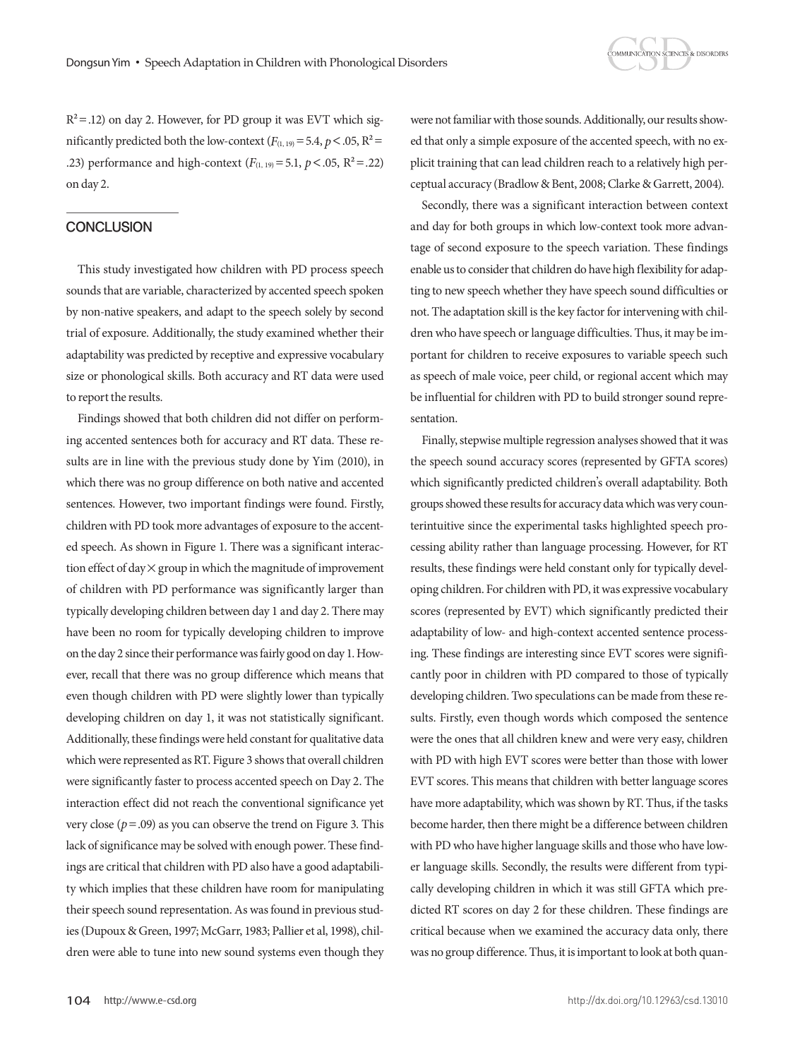

 $R<sup>2</sup>=.12$ ) on day 2. However, for PD group it was EVT which significantly predicted both the low-context  $(F_{(1, 19)} = 5.4, p < .05, R^2 =$ .23) performance and high-context  $(F_{(1, 19)} = 5.1, p < .05, R^2 = .22)$ on day 2.

## **CONCLUSION**

This study investigated how children with PD process speech sounds that are variable, characterized by accented speech spoken by non-native speakers, and adapt to the speech solely by second trial of exposure. Additionally, the study examined whether their adaptability was predicted by receptive and expressive vocabulary size or phonological skills. Both accuracy and RT data were used to report the results.

Findings showed that both children did not differ on performing accented sentences both for accuracy and RT data. These results are in line with the previous study done by Yim (2010), in which there was no group difference on both native and accented sentences. However, two important findings were found. Firstly, children with PD took more advantages of exposure to the accented speech. As shown in Figure 1. There was a significant interaction effect of day  $\times$  group in which the magnitude of improvement of children with PD performance was significantly larger than typically developing children between day 1 and day 2. There may have been no room for typically developing children to improve on the day 2 since their performance was fairly good on day 1. However, recall that there was no group difference which means that even though children with PD were slightly lower than typically developing children on day 1, it was not statistically significant. Additionally, these findings were held constant for qualitative data which were represented as RT. Figure 3 shows that overall children were significantly faster to process accented speech on Day 2. The interaction effect did not reach the conventional significance yet very close ( $p = .09$ ) as you can observe the trend on Figure 3. This lack of significance may be solved with enough power. These findings are critical that children with PD also have a good adaptability which implies that these children have room for manipulating their speech sound representation. As was found in previous studies (Dupoux & Green, 1997; McGarr, 1983; Pallier et al, 1998), children were able to tune into new sound systems even though they

were not familiar with those sounds. Additionally, our results showed that only a simple exposure of the accented speech, with no explicit training that can lead children reach to a relatively high perceptual accuracy (Bradlow & Bent, 2008; Clarke & Garrett, 2004).

Secondly, there was a significant interaction between context and day for both groups in which low-context took more advantage of second exposure to the speech variation. These findings enable us to consider that children do have high flexibility for adapting to new speech whether they have speech sound difficulties or not. The adaptation skill is the key factor for intervening with children who have speech or language difficulties. Thus, it may be important for children to receive exposures to variable speech such as speech of male voice, peer child, or regional accent which may be influential for children with PD to build stronger sound representation.

Finally, stepwise multiple regression analyses showed that it was the speech sound accuracy scores (represented by GFTA scores) which significantly predicted children's overall adaptability. Both groups showed these results for accuracy data which was very counterintuitive since the experimental tasks highlighted speech processing ability rather than language processing. However, for RT results, these findings were held constant only for typically developing children. For children with PD, it was expressive vocabulary scores (represented by EVT) which significantly predicted their adaptability of low- and high-context accented sentence processing. These findings are interesting since EVT scores were significantly poor in children with PD compared to those of typically developing children. Two speculations can be made from these results. Firstly, even though words which composed the sentence were the ones that all children knew and were very easy, children with PD with high EVT scores were better than those with lower EVT scores. This means that children with better language scores have more adaptability, which was shown by RT. Thus, if the tasks become harder, then there might be a difference between children with PD who have higher language skills and those who have lower language skills. Secondly, the results were different from typically developing children in which it was still GFTA which predicted RT scores on day 2 for these children. These findings are critical because when we examined the accuracy data only, there was no group difference. Thus, it is important to look at both quan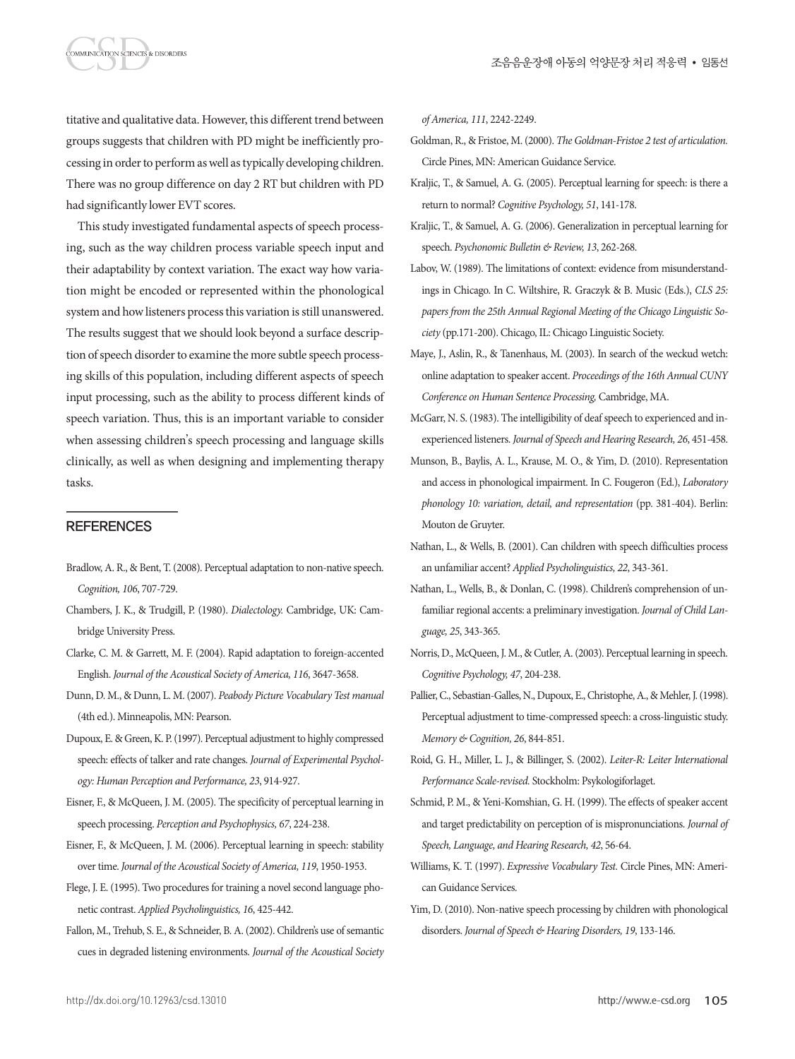titative and qualitative data. However, this different trend between groups suggests that children with PD might be inefficiently processing in order to perform as well as typically developing children. There was no group difference on day 2 RT but children with PD had significantly lower EVT scores.

This study investigated fundamental aspects of speech processing, such as the way children process variable speech input and their adaptability by context variation. The exact way how variation might be encoded or represented within the phonological system and how listeners process this variation is still unanswered. The results suggest that we should look beyond a surface description of speech disorder to examine the more subtle speech processing skills of this population, including different aspects of speech input processing, such as the ability to process different kinds of speech variation. Thus, this is an important variable to consider when assessing children's speech processing and language skills clinically, as well as when designing and implementing therapy tasks.

## **REFERENCES**

MMUNICATION SCIENCES & DISORDERS

- Bradlow, A. R., & Bent, T. (2008). Perceptual adaptation to non-native speech. *Cognition, 106*, 707-729.
- Chambers, J. K., & Trudgill, P. (1980). *Dialectology.* Cambridge, UK: Cambridge University Press.
- Clarke, C. M. & Garrett, M. F. (2004). Rapid adaptation to foreign-accented English. *Journal of the Acoustical Society of America, 116*, 3647-3658.
- Dunn, D. M., & Dunn, L. M. (2007). *Peabody Picture Vocabulary Test manual* (4th ed.). Minneapolis, MN: Pearson.
- Dupoux, E. & Green, K. P. (1997). Perceptual adjustment to highly compressed speech: effects of talker and rate changes. *Journal of Experimental Psychology: Human Perception and Performance, 23*, 914-927.
- Eisner, F., & McQueen, J. M. (2005). The specificity of perceptual learning in speech processing. *Perception and Psychophysics, 67*, 224-238.
- Eisner, F., & McQueen, J. M. (2006). Perceptual learning in speech: stability over time. *Journal of the Acoustical Society of America, 119*, 1950-1953.
- Flege, J. E. (1995). Two procedures for training a novel second language phonetic contrast. *Applied Psycholinguistics, 16*, 425-442.
- Fallon, M., Trehub, S. E., & Schneider, B. A. (2002). Children's use of semantic cues in degraded listening environments. *Journal of the Acoustical Society*

*of America, 111*, 2242-2249.

- Goldman, R., & Fristoe, M. (2000). *The Goldman-Fristoe 2 test of articulation.* Circle Pines, MN: American Guidance Service.
- Kraljic, T., & Samuel, A. G. (2005). Perceptual learning for speech: is there a return to normal? *Cognitive Psychology, 51*, 141-178.
- Kraljic, T., & Samuel, A. G. (2006). Generalization in perceptual learning for speech. *Psychonomic Bulletin & Review, 13*, 262-268.
- Labov, W. (1989). The limitations of context: evidence from misunderstandings in Chicago. In C. Wiltshire, R. Graczyk & B. Music (Eds.), *CLS 25: papers from the 25th Annual Regional Meeting of the Chicago Linguistic Society* (pp.171-200). Chicago, IL: Chicago Linguistic Society.
- Maye, J., Aslin, R., & Tanenhaus, M. (2003). In search of the weckud wetch: online adaptation to speaker accent. *Proceedings of the 16th Annual CUNY Conference on Human Sentence Processing,* Cambridge, MA.
- McGarr, N. S. (1983). The intelligibility of deaf speech to experienced and inexperienced listeners. *Journal of Speech and Hearing Research, 26*, 451-458.
- Munson, B., Baylis, A. L., Krause, M. O., & Yim, D. (2010). Representation and access in phonological impairment. In C. Fougeron (Ed.), *Laboratory phonology 10: variation, detail, and representation* (pp. 381-404). Berlin: Mouton de Gruyter.
- Nathan, L., & Wells, B. (2001). Can children with speech difficulties process an unfamiliar accent? *Applied Psycholinguistics, 22*, 343-361.
- Nathan, L., Wells, B., & Donlan, C. (1998). Children's comprehension of unfamiliar regional accents: a preliminary investigation. *Journal of Child Language, 25*, 343-365.
- Norris, D., McQueen, J. M., & Cutler, A. (2003). Perceptual learning in speech. *Cognitive Psychology, 47*, 204-238.
- Pallier, C., Sebastian-Galles, N., Dupoux, E., Christophe, A., & Mehler, J. (1998). Perceptual adjustment to time-compressed speech: a cross-linguistic study. *Memory & Cognition, 26*, 844-851.
- Roid, G. H., Miller, L. J., & Billinger, S. (2002). *Leiter-R: Leiter International Performance Scale-revised.* Stockholm: Psykologiforlaget.
- Schmid, P. M., & Yeni-Komshian, G. H. (1999). The effects of speaker accent and target predictability on perception of is mispronunciations. *Journal of Speech, Language, and Hearing Research, 42*, 56-64.
- Williams, K. T. (1997). *Expressive Vocabulary Test.* Circle Pines, MN: American Guidance Services.
- Yim, D. (2010). Non-native speech processing by children with phonological disorders. *Journal of Speech & Hearing Disorders, 19*, 133-146.